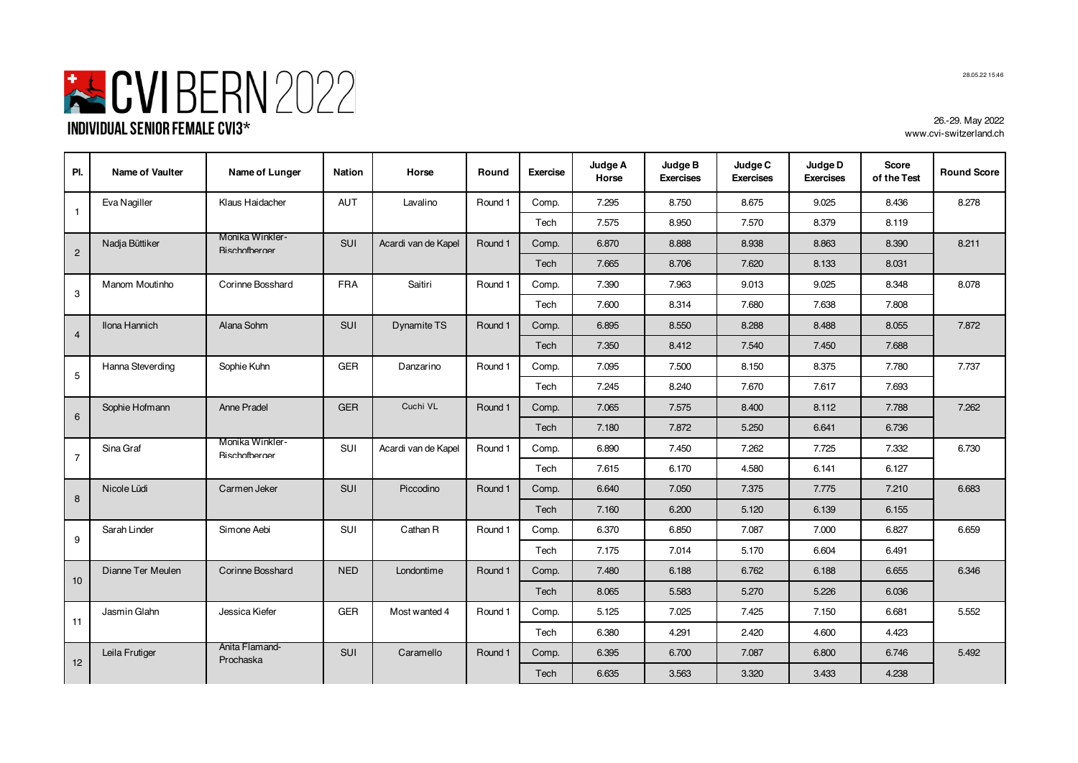

| PI.            | <b>Name of Vaulter</b> | Name of Lunger                          | Nation     | Horse               | Round   | <b>Exercise</b> | Judge A<br>Horse | Judge B<br><b>Exercises</b> | Judge C<br><b>Exercises</b> | Judge D<br><b>Exercises</b> | <b>Score</b><br>of the Test | <b>Round Score</b> |
|----------------|------------------------|-----------------------------------------|------------|---------------------|---------|-----------------|------------------|-----------------------------|-----------------------------|-----------------------------|-----------------------------|--------------------|
| $\overline{1}$ | Eva Nagiller           | Klaus Haidacher                         | <b>AUT</b> | Lavalino            | Round 1 | Comp.           | 7.295            | 8.750                       | 8.675                       | 9.025                       | 8.436                       | 8.278              |
|                |                        |                                         |            |                     |         | Tech            | 7.575            | 8.950                       | 7.570                       | 8.379                       | 8.119                       |                    |
| $\overline{2}$ | Nadja Büttiker         | Monika Winkler-<br><b>Rischofberger</b> | SUI        | Acardi van de Kapel | Round 1 | Comp.           | 6.870            | 8.888                       | 8.938                       | 8.863                       | 8.390                       | 8.211              |
|                |                        |                                         |            |                     |         | Tech            | 7.665            | 8.706                       | 7.620                       | 8.133                       | 8.031                       |                    |
| 3              | Manom Moutinho         | Corinne Bosshard                        | FRA        | Saitiri             | Round 1 | Comp.           | 7.390            | 7.963                       | 9.013                       | 9.025                       | 8.348                       | 8.078              |
|                |                        |                                         |            |                     |         | Tech            | 7.600            | 8.314                       | 7.680                       | 7.638                       | 7.808                       |                    |
| $\overline{4}$ | Ilona Hannich          | Alana Sohm                              | <b>SUI</b> | Dynamite TS         | Round 1 | Comp.           | 6.895            | 8.550                       | 8.288                       | 8.488                       | 8.055                       | 7.872              |
|                |                        |                                         |            |                     |         | Tech            | 7.350            | 8.412                       | 7.540                       | 7.450                       | 7.688                       |                    |
| 5              | Hanna Steverding       | Sophie Kuhn                             | <b>GER</b> | Danzarino           | Round 1 | Comp.           | 7.095            | 7.500                       | 8.150                       | 8.375                       | 7.780                       | 7.737              |
|                |                        |                                         |            |                     | Tech    | 7.245           | 8.240            | 7.670                       | 7.617                       | 7.693                       |                             |                    |
| 6              | Sophie Hofmann         | Anne Pradel                             | <b>GER</b> | Cuchi VL            | Round 1 | Comp.           | 7.065            | 7.575                       | 8.400                       | 8.112                       | 7.788                       | 7.262              |
|                |                        |                                         |            |                     |         | Tech            | 7.180            | 7.872                       | 5.250                       | 6.641                       | 6.736                       |                    |
| $\overline{7}$ | Sina Graf              | Monika Winkler-<br><b>Bischofberger</b> | SUI        | Acardi van de Kapel | Round 1 | Comp.           | 6.890            | 7.450                       | 7.262                       | 7.725                       | 7.332                       | 6.730              |
|                |                        |                                         |            |                     |         | Tech            | 7.615            | 6.170                       | 4.580                       | 6.141                       | 6.127                       |                    |
| 8              | Nicole Lüdi            | Carmen Jeker                            | <b>SUI</b> | Piccodino           | Round 1 | Comp.           | 6.640            | 7.050                       | 7.375                       | 7.775                       | 7.210                       | 6.683              |
|                |                        |                                         |            |                     |         | Tech            | 7.160            | 6.200                       | 5.120                       | 6.139                       | 6.155                       |                    |
| 9              | Sarah Linder           | Simone Aebi                             | SUI        | Cathan R            | Round 1 | Comp.           | 6.370            | 6.850                       | 7.087                       | 7.000                       | 6.827                       | 6.659              |
|                |                        |                                         |            |                     |         | Tech            | 7.175            | 7.014                       | 5.170                       | 6.604                       | 6.491                       |                    |
| 10             | Dianne Ter Meulen      | Corinne Bosshard                        | <b>NED</b> | Londontime          | Round 1 | Comp.           | 7.480            | 6.188                       | 6.762                       | 6.188                       | 6.655                       | 6.346              |
|                |                        |                                         |            |                     |         | Tech            | 8.065            | 5.583                       | 5.270                       | 5.226                       | 6.036                       |                    |
| 11             | Jasmin Glahn           | Jessica Kiefer                          | <b>GER</b> | Most wanted 4       | Round 1 | Comp.           | 5.125            | 7.025                       | 7.425                       | 7.150                       | 6.681                       | 5.552              |
|                |                        |                                         |            |                     |         | Tech            | 6.380            | 4.291                       | 2.420                       | 4.600                       | 4.423                       |                    |
|                | Leila Frutiger         | Anita Flamand-<br>Prochaska             | <b>SUI</b> | Caramello           | Round 1 | Comp.           | 6.395            | 6.700                       | 7.087                       | 6.800                       | 6.746                       | 5.492              |
| 12             |                        |                                         |            |                     |         | Tech            | 6.635            | 3.563                       | 3.320                       | 3.433                       | 4.238                       |                    |

28.05.22 15:46

26.-29. May 2022 www.cvi-switzerland.ch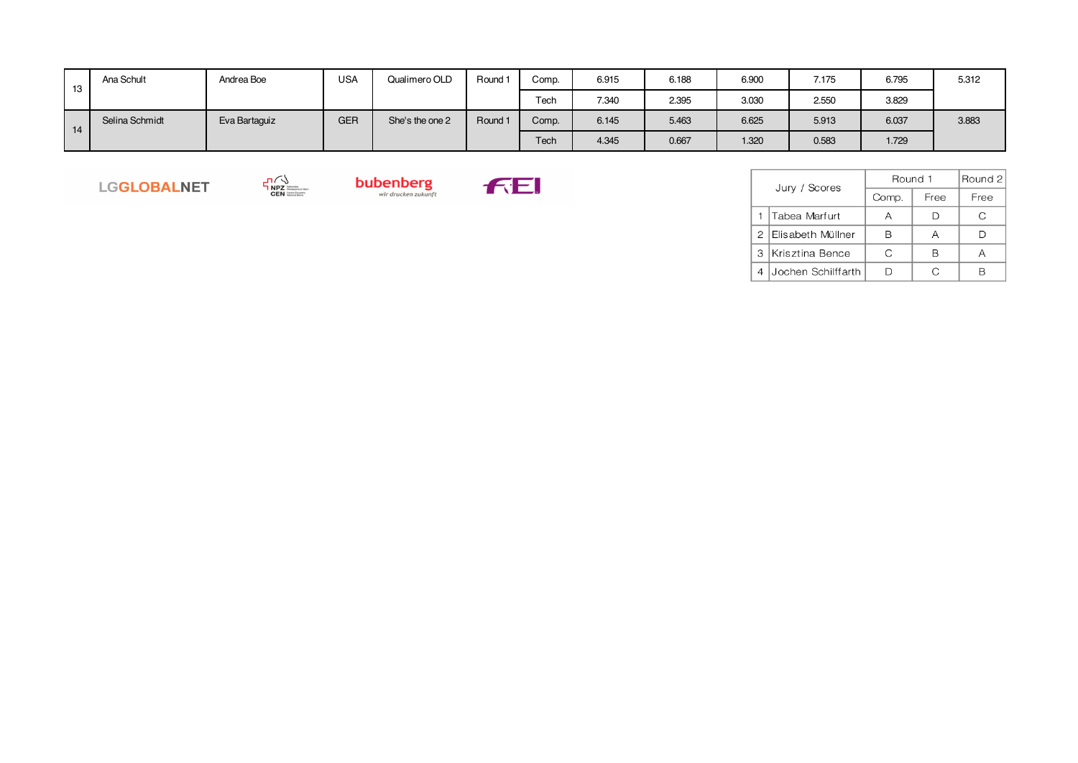| 13 | Ana Schult     | Andrea Boe    | <b>USA</b> | Qualimero OLD   | Round   | Comp. | 6.915 | 6.188 | 6.900 | 7.175 | 6.795 | 5.312 |
|----|----------------|---------------|------------|-----------------|---------|-------|-------|-------|-------|-------|-------|-------|
|    |                |               |            |                 |         | Tech  | 7.340 | 2.395 | 3.030 | 2.550 | 3.829 |       |
| 14 | Selina Schmidt | Eva Bartaguiz | <b>GER</b> | She's the one 2 | Round 1 | Comp. | 6.145 | 5.463 | 6.625 | 5.913 | 6.037 | 3.883 |
|    |                |               |            |                 |         | Tech  | 4.345 | 0.667 | 1.320 | 0.583 | 1.729 |       |

LGGLOBALNET





|   | Jury / Scores      | Round 1 | Round 2 |      |
|---|--------------------|---------|---------|------|
|   |                    | Comp.   | Free    | Free |
|   | Tabea Marfurt      |         | Ð       | C    |
| 2 | Elisabeth Müllner  | R       | А       |      |
| 3 | Krisztina Bence    | C       | R       |      |
|   | Jochen Schilffarth |         |         |      |